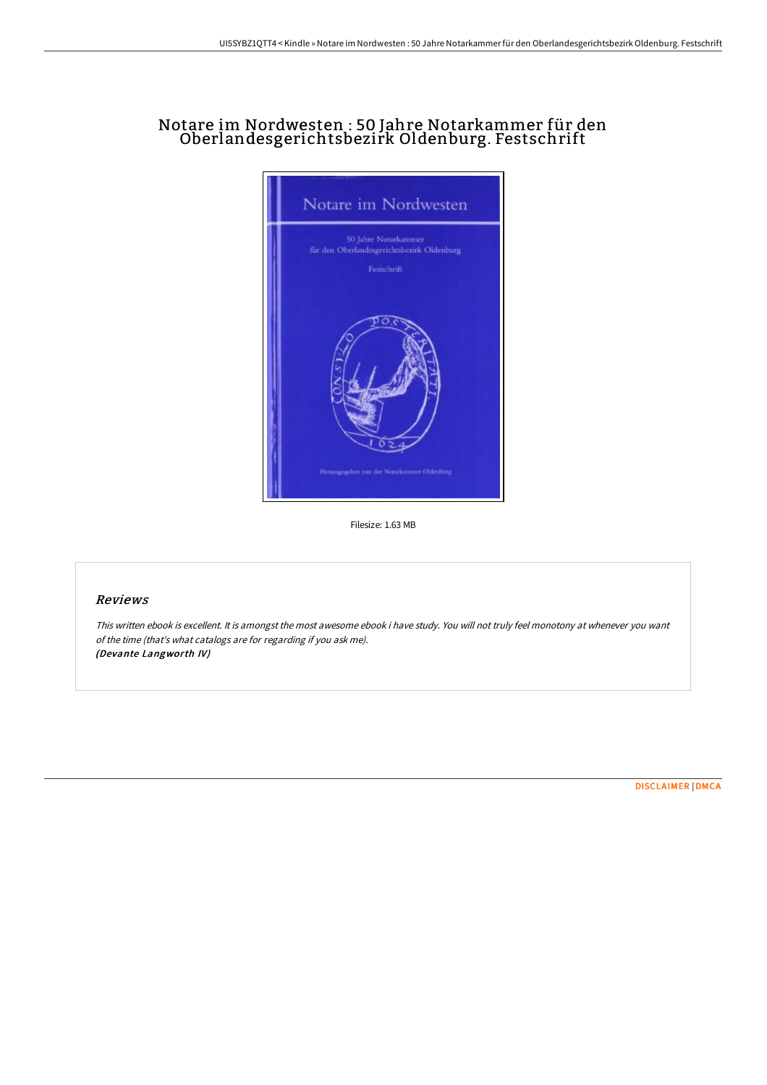## Notare im Nordwesten : 50 Jahre Notarkammer für den Oberlandesgerichtsbezirk Oldenburg. Festschrift



Filesize: 1.63 MB

## Reviews

This written ebook is excellent. It is amongst the most awesome ebook i have study. You will not truly feel monotony at whenever you want of the time (that's what catalogs are for regarding if you ask me). (Devante Langworth IV)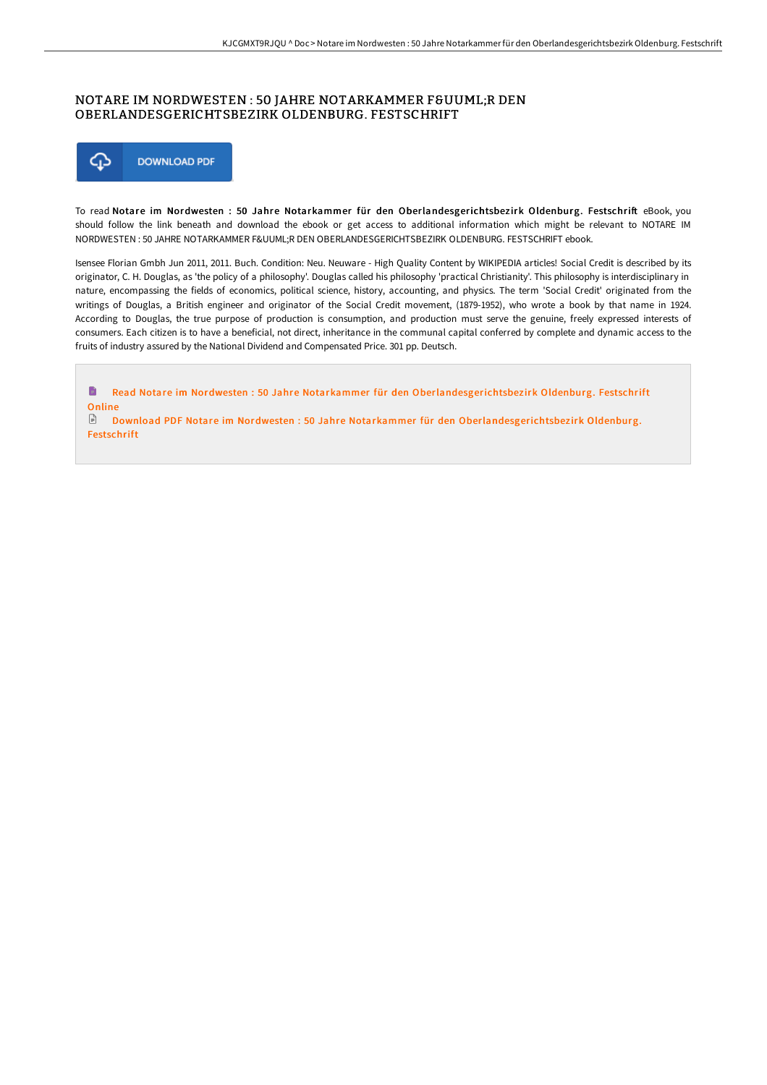## NOTARE IM NORDWESTEN : 50 JAHRE NOTARKAMMER FÜR DEN OBERLANDESGERICHTSBEZIRK OLDENBURG. FESTSCHRIFT



To read Notare im Nordwesten : 50 Jahre Notarkammer für den Oberlandesgerichtsbezirk Oldenburg. Festschrift eBook, you should follow the link beneath and download the ebook or get access to additional information which might be relevant to NOTARE IM NORDWESTEN : 50 JAHRE NOTARKAMMER FÜR DEN OBERLANDESGERICHTSBEZIRK OLDENBURG. FESTSCHRIFT ebook.

Isensee Florian Gmbh Jun 2011, 2011. Buch. Condition: Neu. Neuware - High Quality Content by WIKIPEDIA articles! Social Credit is described by its originator, C. H. Douglas, as 'the policy of a philosophy'. Douglas called his philosophy 'practical Christianity'. This philosophy is interdisciplinary in nature, encompassing the fields of economics, political science, history, accounting, and physics. The term 'Social Credit' originated from the writings of Douglas, a British engineer and originator of the Social Credit movement, (1879-1952), who wrote a book by that name in 1924. According to Douglas, the true purpose of production is consumption, and production must serve the genuine, freely expressed interests of consumers. Each citizen is to have a beneficial, not direct, inheritance in the communal capital conferred by complete and dynamic access to the fruits of industry assured by the National Dividend and Compensated Price. 301 pp. Deutsch.

 $\blacksquare$ Read Notare im Nordwesten : 50 Jahre Notarkammer für den [Oberlandesgerichtsbez](http://www.bookdirs.com/notare-im-nordwesten-50-jahre-notarkammer-f-uuml.html)irk Oldenburg. Festschrift **Online**  $\Box$  Download PDF Notare im Nordwesten : 50 Jahre Notarkammer für den [Oberlandesgerichtsbez](http://www.bookdirs.com/notare-im-nordwesten-50-jahre-notarkammer-f-uuml.html)irk Oldenburg.

Festschrift